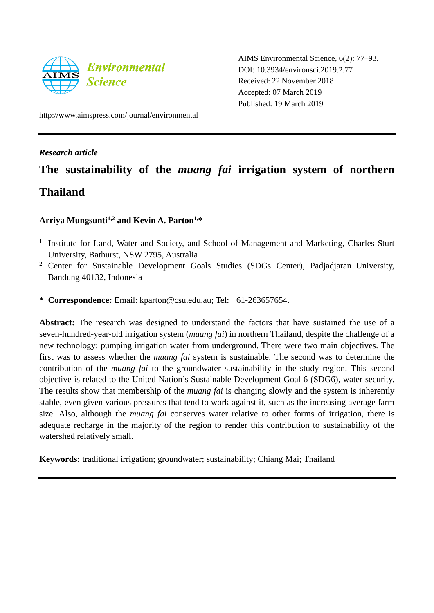

AIMS Environmental Science, 6(2): 77–93. DOI: 10.3934/environsci.2019.2.77 Received: 22 November 2018 Accepted: 07 March 2019 Published: 19 March 2019

http://www.aimspress.com/journal/environmental

# *Research article*

# **The sustainability of the** *muang fai* **irrigation system of northern Thailand**

# **Arriya Mungsunti1,2 and Kevin A. Parton1,\***

- **<sup>1</sup>** Institute for Land, Water and Society, and School of Management and Marketing, Charles Sturt University, Bathurst, NSW 2795, Australia
- **<sup>2</sup>** Center for Sustainable Development Goals Studies (SDGs Center), Padjadjaran University, Bandung 40132, Indonesia
- **\* Correspondence:** Email: kparton@csu.edu.au; Tel: +61-263657654.

Abstract: The research was designed to understand the factors that have sustained the use of a seven-hundred-year-old irrigation system (*muang fai*) in northern Thailand, despite the challenge of a new technology: pumping irrigation water from underground. There were two main objectives. The first was to assess whether the *muang fai* system is sustainable. The second was to determine the contribution of the *muang fai* to the groundwater sustainability in the study region. This second objective is related to the United Nation's Sustainable Development Goal 6 (SDG6), water security. The results show that membership of the *muang fai* is changing slowly and the system is inherently stable, even given various pressures that tend to work against it, such as the increasing average farm size. Also, although the *muang fai* conserves water relative to other forms of irrigation, there is adequate recharge in the majority of the region to render this contribution to sustainability of the watershed relatively small.

**Keywords:** traditional irrigation; groundwater; sustainability; Chiang Mai; Thailand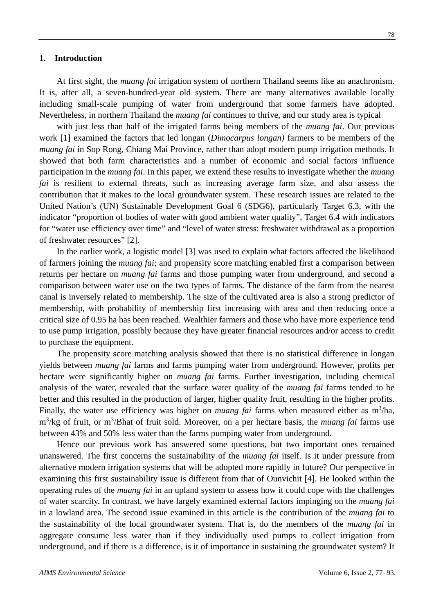## **1. Introduction**

At first sight, the *muang fai* irrigation system of northern Thailand seems like an anachronism. It is, after all, a seven-hundred-year old system. There are many alternatives available locally including small-scale pumping of water from underground that some farmers have adopted. Nevertheless, in northern Thailand the *muang fai* continues to thrive, and our study area is typical

with just less than half of the irrigated farms being members of the *muang fai*. Our previous work [1] examined the factors that led longan (*Dimocarpus longan)* farmers to be members of the *muang fai* in Sop Rong, Chiang Mai Province, rather than adopt modern pump irrigation methods. It showed that both farm characteristics and a number of economic and social factors influence participation in the *muang fai*. In this paper, we extend these results to investigate whether the *muang fai* is resilient to external threats, such as increasing average farm size, and also assess the contribution that it makes to the local groundwater system. These research issues are related to the United Nation's (UN) Sustainable Development Goal 6 (SDG6), particularly Target 6.3, with the indicator "proportion of bodies of water with good ambient water quality", Target 6.4 with indicators for "water use efficiency over time" and "level of water stress: freshwater withdrawal as a proportion of freshwater resources" [2].

In the earlier work, a logistic model [3] was used to explain what factors affected the likelihood of farmers joining the *muang fai*; and propensity score matching enabled first a comparison between returns per hectare on *muang fai* farms and those pumping water from underground, and second a comparison between water use on the two types of farms. The distance of the farm from the nearest canal is inversely related to membership. The size of the cultivated area is also a strong predictor of membership, with probability of membership first increasing with area and then reducing once a critical size of 0.95 ha has been reached. Wealthier farmers and those who have more experience tend to use pump irrigation, possibly because they have greater financial resources and/or access to credit to purchase the equipment.

The propensity score matching analysis showed that there is no statistical difference in longan yields between *muang fai* farms and farms pumping water from underground. However, profits per hectare were significantly higher on *muang fai* farms. Further investigation, including chemical analysis of the water, revealed that the surface water quality of the *muang fai* farms tended to be better and this resulted in the production of larger, higher quality fruit, resulting in the higher profits. Finally, the water use efficiency was higher on *muang fai* farms when measured either as m<sup>3</sup>/ha, m<sup>3</sup>/kg of fruit, or m<sup>3</sup>/Bhat of fruit sold. Moreover, on a per hectare basis, the *muang fai* farms use between 43% and 50% less water than the farms pumping water from underground.

Hence our previous work has answered some questions, but two important ones remained unanswered. The first concerns the sustainability of the *muang fai* itself. Is it under pressure from alternative modern irrigation systems that will be adopted more rapidly in future? Our perspective in examining this first sustainability issue is different from that of Ounvichit [4]. He looked within the operating rules of the *muang fai* in an upland system to assess how it could cope with the challenges of water scarcity. In contrast, we have largely examined external factors impinging on the *muang fai* in a lowland area. The second issue examined in this article is the contribution of the *muang fai* to the sustainability of the local groundwater system. That is, do the members of the *muang fai* in aggregate consume less water than if they individually used pumps to collect irrigation from underground, and if there is a difference, is it of importance in sustaining the groundwater system? It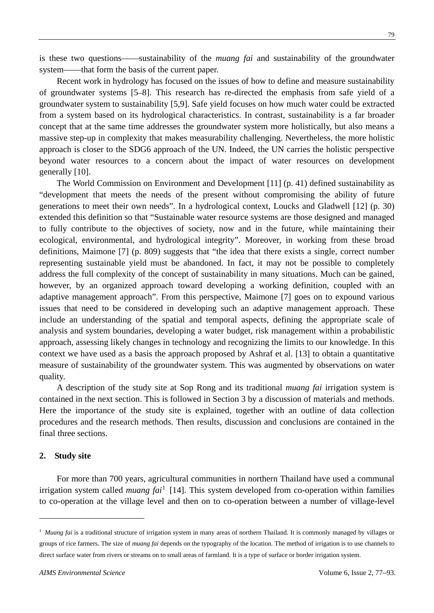is these two questions——sustainability of the *muang fai* and sustainability of the groundwater system——that form the basis of the current paper.

Recent work in hydrology has focused on the issues of how to define and measure sustainability of groundwater systems [5–8]. This research has re-directed the emphasis from safe yield of a groundwater system to sustainability [5,9]. Safe yield focuses on how much water could be extracted from a system based on its hydrological characteristics. In contrast, sustainability is a far broader concept that at the same time addresses the groundwater system more holistically, but also means a massive step-up in complexity that makes measurability challenging. Nevertheless, the more holistic approach is closer to the SDG6 approach of the UN. Indeed, the UN carries the holistic perspective beyond water resources to a concern about the impact of water resources on development generally [10].

The World Commission on Environment and Development [11] (p. 41) defined sustainability as "development that meets the needs of the present without compromising the ability of future generations to meet their own needs". In a hydrological context, Loucks and Gladwell [12] (p. 30) extended this definition so that "Sustainable water resource systems are those designed and managed to fully contribute to the objectives of society, now and in the future, while maintaining their ecological, environmental, and hydrological integrity". Moreover, in working from these broad definitions, Maimone [7] (p. 809) suggests that "the idea that there exists a single, correct number representing sustainable yield must be abandoned. In fact, it may not be possible to completely address the full complexity of the concept of sustainability in many situations. Much can be gained, however, by an organized approach toward developing a working definition, coupled with an adaptive management approach". From this perspective, Maimone [7] goes on to expound various issues that need to be considered in developing such an adaptive management approach. These include an understanding of the spatial and temporal aspects, defining the appropriate scale of analysis and system boundaries, developing a water budget, risk management within a probabilistic approach, assessing likely changes in technology and recognizing the limits to our knowledge. In this context we have used as a basis the approach proposed by Ashraf et al. [13] to obtain a quantitative measure of sustainability of the groundwater system. This was augmented by observations on water quality.

A description of the study site at Sop Rong and its traditional *muang fai* irrigation system is contained in the next section. This is followed in Section 3 by a discussion of materials and methods. Here the importance of the study site is explained, together with an outline of data collection procedures and the research methods. Then results, discussion and conclusions are contained in the final three sections.

#### **2. Study site**

-

For more than 700 years, agricultural communities in northern Thailand have used a communal irrigation system called *muang fai*<sup>[1](#page-2-0)</sup> [14]. This system developed from co-operation within families to co-operation at the village level and then on to co-operation between a number of village-level

<span id="page-2-0"></span><sup>&</sup>lt;sup>1</sup> *Muang fai* is a traditional structure of irrigation system in many areas of northern Thailand. It is commonly managed by villages or groups of rice farmers. The size of *muang fai* depends on the typography of the location. The method of irrigation is to use channels to direct surface water from rivers or streams on to small areas of farmland. It is a type of surface or border irrigation system.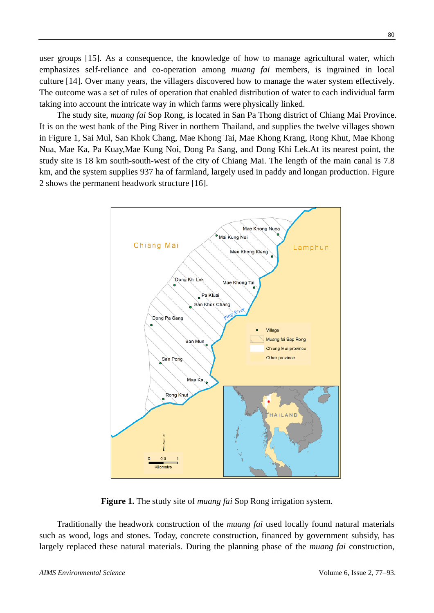user groups [15]. As a consequence, the knowledge of how to manage agricultural water, which emphasizes self-reliance and co-operation among *muang fai* members, is ingrained in local culture [14]. Over many years, the villagers discovered how to manage the water system effectively. The outcome was a set of rules of operation that enabled distribution of water to each individual farm taking into account the intricate way in which farms were physically linked.

The study site, *muang fai* Sop Rong, is located in San Pa Thong district of Chiang Mai Province. It is on the west bank of the Ping River in northern Thailand, and supplies the twelve villages shown in Figure 1, Sai Mul, San Khok Chang, Mae Khong Tai, Mae Khong Krang, Rong Khut, Mae Khong Nua, Mae Ka, Pa Kuay,Mae Kung Noi, Dong Pa Sang, and Dong Khi Lek.At its nearest point, the study site is 18 km south-south-west of the city of Chiang Mai. The length of the main canal is 7.8 km, and the system supplies 937 ha of farmland, largely used in paddy and longan production. Figure 2 shows the permanent headwork structure [16].



**Figure 1.** The study site of *muang fai* Sop Rong irrigation system.

Traditionally the headwork construction of the *muang fai* used locally found natural materials such as wood, logs and stones. Today, concrete construction, financed by government subsidy, has largely replaced these natural materials. During the planning phase of the *muang fai* construction,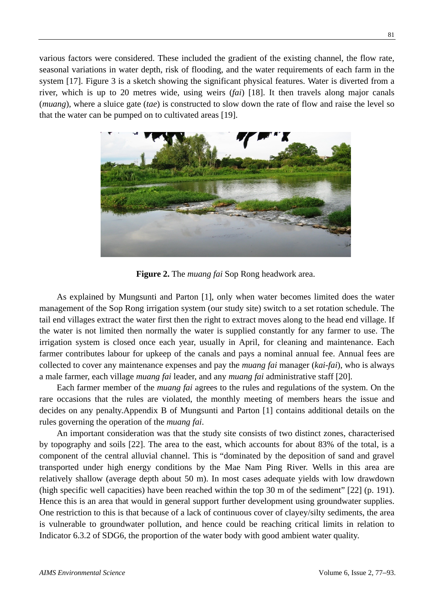various factors were considered. These included the gradient of the existing channel, the flow rate, seasonal variations in water depth, risk of flooding, and the water requirements of each farm in the system [17]. Figure 3 is a sketch showing the significant physical features. Water is diverted from a river, which is up to 20 metres wide, using weirs (*fai*) [18]. It then travels along major canals (*muang*), where a sluice gate (*tae*) is constructed to slow down the rate of flow and raise the level so that the water can be pumped on to cultivated areas [19].



**Figure 2.** The *muang fai* Sop Rong headwork area.

As explained by Mungsunti and Parton [1], only when water becomes limited does the water management of the Sop Rong irrigation system (our study site) switch to a set rotation schedule. The tail end villages extract the water first then the right to extract moves along to the head end village. If the water is not limited then normally the water is supplied constantly for any farmer to use. The irrigation system is closed once each year, usually in April, for cleaning and maintenance. Each farmer contributes labour for upkeep of the canals and pays a nominal annual fee. Annual fees are collected to cover any maintenance expenses and pay the *muang fai* manager (*kai-fai*), who is always a male farmer, each village *muang fai* leader, and any *muang fai* administrative staff [20].

Each farmer member of the *muang fai* agrees to the rules and regulations of the system. On the rare occasions that the rules are violated, the monthly meeting of members hears the issue and decides on any penalty.Appendix B of Mungsunti and Parton [1] contains additional details on the rules governing the operation of the *muang fai*.

An important consideration was that the study site consists of two distinct zones, characterised by topography and soils [22]. The area to the east, which accounts for about 83% of the total, is a component of the central alluvial channel. This is "dominated by the deposition of sand and gravel transported under high energy conditions by the Mae Nam Ping River. Wells in this area are relatively shallow (average depth about 50 m). In most cases adequate yields with low drawdown (high specific well capacities) have been reached within the top 30 m of the sediment" [22] (p. 191). Hence this is an area that would in general support further development using groundwater supplies. One restriction to this is that because of a lack of continuous cover of clayey/silty sediments, the area is vulnerable to groundwater pollution, and hence could be reaching critical limits in relation to Indicator 6.3.2 of SDG6, the proportion of the water body with good ambient water quality.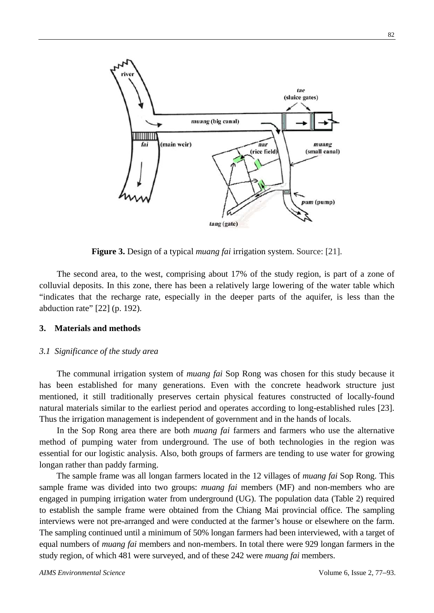

**Figure 3.** Design of a typical *muang fai* irrigation system. Source: [21].

The second area, to the west, comprising about 17% of the study region, is part of a zone of colluvial deposits. In this zone, there has been a relatively large lowering of the water table which "indicates that the recharge rate, especially in the deeper parts of the aquifer, is less than the abduction rate" [22] (p. 192).

## **3. Materials and methods**

#### *3.1 Significance of the study area*

The communal irrigation system of *muang fai* Sop Rong was chosen for this study because it has been established for many generations. Even with the concrete headwork structure just mentioned, it still traditionally preserves certain physical features constructed of locally-found natural materials similar to the earliest period and operates according to long-established rules [23]. Thus the irrigation management is independent of government and in the hands of locals.

In the Sop Rong area there are both *muang fai* farmers and farmers who use the alternative method of pumping water from underground. The use of both technologies in the region was essential for our logistic analysis. Also, both groups of farmers are tending to use water for growing longan rather than paddy farming.

The sample frame was all longan farmers located in the 12 villages of *muang fai* Sop Rong. This sample frame was divided into two groups: *muang fai* members (MF) and non-members who are engaged in pumping irrigation water from underground (UG). The population data (Table 2) required to establish the sample frame were obtained from the Chiang Mai provincial office. The sampling interviews were not pre-arranged and were conducted at the farmer's house or elsewhere on the farm. The sampling continued until a minimum of 50% longan farmers had been interviewed, with a target of equal numbers of *muang fai* members and non-members. In total there were 929 longan farmers in the study region, of which 481 were surveyed, and of these 242 were *muang fai* members.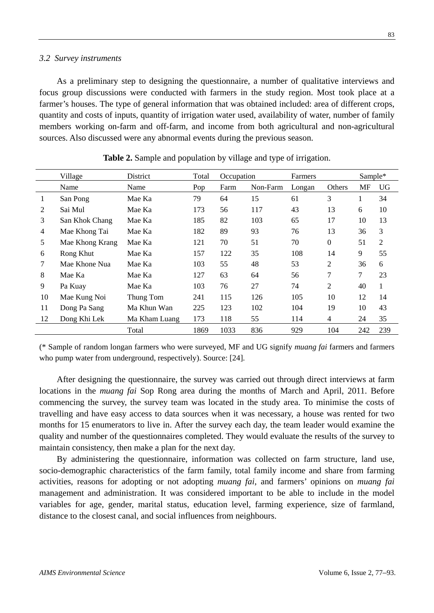## *3.2 Survey instruments*

As a preliminary step to designing the questionnaire, a number of qualitative interviews and focus group discussions were conducted with farmers in the study region. Most took place at a farmer's houses. The type of general information that was obtained included: area of different crops, quantity and costs of inputs, quantity of irrigation water used, availability of water, number of family members working on-farm and off-farm, and income from both agricultural and non-agricultural sources. Also discussed were any abnormal events during the previous season.

|          | Village         | District      | Total | Occupation |          | Farmers |                  | Sample* |     |
|----------|-----------------|---------------|-------|------------|----------|---------|------------------|---------|-----|
|          | Name            | Name          | Pop   | Farm       | Non-Farm | Longan  | Others           | MF      | UG  |
| $\bf{1}$ | San Pong        | Mae Ka        | 79    | 64         | 15       | 61      | 3                | 1       | 34  |
| 2        | Sai Mul         | Mae Ka        | 173   | 56         | 117      | 43      | 13               | 6       | 10  |
| 3        | San Khok Chang  | Mae Ka        | 185   | 82         | 103      | 65      | 17               | 10      | 13  |
| 4        | Mae Khong Tai   | Mae Ka        | 182   | 89         | 93       | 76      | 13               | 36      | 3   |
| 5        | Mae Khong Krang | Mae Ka        | 121   | 70         | 51       | 70      | $\boldsymbol{0}$ | 51      | 2   |
| 6        | Rong Khut       | Mae Ka        | 157   | 122        | 35       | 108     | 14               | 9       | 55  |
| 7        | Mae Khone Nua   | Mae Ka        | 103   | 55         | 48       | 53      | $\overline{2}$   | 36      | 6   |
| 8        | Mae Ka          | Mae Ka        | 127   | 63         | 64       | 56      | 7                | 7       | 23  |
| 9        | Pa Kuay         | Mae Ka        | 103   | 76         | 27       | 74      | 2                | 40      |     |
| 10       | Mae Kung Noi    | Thung Tom     | 241   | 115        | 126      | 105     | 10               | 12      | 14  |
| 11       | Dong Pa Sang    | Ma Khun Wan   | 225   | 123        | 102      | 104     | 19               | 10      | 43  |
| 12       | Dong Khi Lek    | Ma Kham Luang | 173   | 118        | 55       | 114     | 4                | 24      | 35  |
|          |                 | Total         | 1869  | 1033       | 836      | 929     | 104              | 242     | 239 |

| Table 2. Sample and population by village and type of irrigation. |  |  |  |  |
|-------------------------------------------------------------------|--|--|--|--|
|-------------------------------------------------------------------|--|--|--|--|

(\* Sample of random longan farmers who were surveyed, MF and UG signify *muang fai* farmers and farmers who pump water from underground, respectively). Source: [24].

After designing the questionnaire, the survey was carried out through direct interviews at farm locations in the *muang fai* Sop Rong area during the months of March and April, 2011. Before commencing the survey, the survey team was located in the study area. To minimise the costs of travelling and have easy access to data sources when it was necessary, a house was rented for two months for 15 enumerators to live in. After the survey each day, the team leader would examine the quality and number of the questionnaires completed. They would evaluate the results of the survey to maintain consistency, then make a plan for the next day.

By administering the questionnaire, information was collected on farm structure, land use, socio-demographic characteristics of the farm family, total family income and share from farming activities, reasons for adopting or not adopting *muang fai*, and farmers' opinions on *muang fai* management and administration. It was considered important to be able to include in the model variables for age, gender, marital status, education level, farming experience, size of farmland, distance to the closest canal, and social influences from neighbours.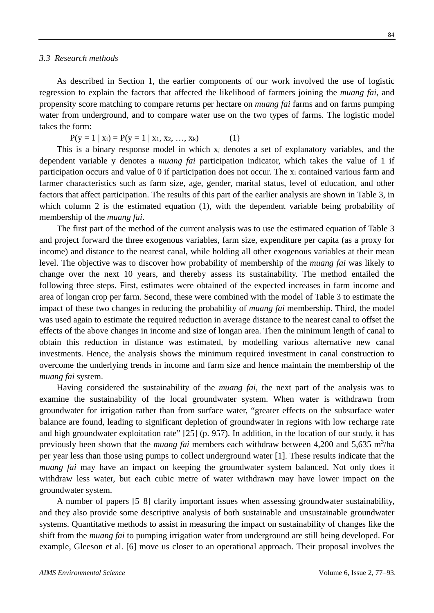84

As described in Section 1, the earlier components of our work involved the use of logistic regression to explain the factors that affected the likelihood of farmers joining the *muang fai*, and propensity score matching to compare returns per hectare on *muang fai* farms and on farms pumping water from underground, and to compare water use on the two types of farms. The logistic model takes the form:

 $P(y = 1 | x_i) = P(y = 1 | x_1, x_2, ..., x_k)$  (1)

This is a binary response model in which x*<sup>i</sup>* denotes a set of explanatory variables, and the dependent variable y denotes a *muang fai* participation indicator, which takes the value of 1 if participation occurs and value of 0 if participation does not occur. The xi contained various farm and farmer characteristics such as farm size, age, gender, marital status, level of education, and other factors that affect participation. The results of this part of the earlier analysis are shown in Table 3, in which column 2 is the estimated equation (1), with the dependent variable being probability of membership of the *muang fai*.

The first part of the method of the current analysis was to use the estimated equation of Table 3 and project forward the three exogenous variables, farm size, expenditure per capita (as a proxy for income) and distance to the nearest canal, while holding all other exogenous variables at their mean level. The objective was to discover how probability of membership of the *muang fai* was likely to change over the next 10 years, and thereby assess its sustainability. The method entailed the following three steps. First, estimates were obtained of the expected increases in farm income and area of longan crop per farm. Second, these were combined with the model of Table 3 to estimate the impact of these two changes in reducing the probability of *muang fai* membership. Third, the model was used again to estimate the required reduction in average distance to the nearest canal to offset the effects of the above changes in income and size of longan area. Then the minimum length of canal to obtain this reduction in distance was estimated, by modelling various alternative new canal investments. Hence, the analysis shows the minimum required investment in canal construction to overcome the underlying trends in income and farm size and hence maintain the membership of the *muang fai* system.

Having considered the sustainability of the *muang fai*, the next part of the analysis was to examine the sustainability of the local groundwater system. When water is withdrawn from groundwater for irrigation rather than from surface water, "greater effects on the subsurface water balance are found, leading to significant depletion of groundwater in regions with low recharge rate and high groundwater exploitation rate" [25] (p. 957). In addition, in the location of our study, it has previously been shown that the *muang fai* members each withdraw between 4,200 and 5,635 m<sup>3</sup>/ha per year less than those using pumps to collect underground water [1]. These results indicate that the *muang fai* may have an impact on keeping the groundwater system balanced. Not only does it withdraw less water, but each cubic metre of water withdrawn may have lower impact on the groundwater system.

A number of papers [5–8] clarify important issues when assessing groundwater sustainability, and they also provide some descriptive analysis of both sustainable and unsustainable groundwater systems. Quantitative methods to assist in measuring the impact on sustainability of changes like the shift from the *muang fai* to pumping irrigation water from underground are still being developed. For example, Gleeson et al. [6] move us closer to an operational approach. Their proposal involves the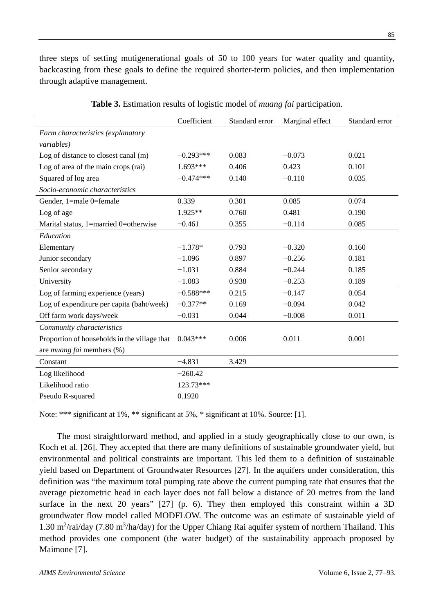three steps of setting mutigenerational goals of 50 to 100 years for water quality and quantity, backcasting from these goals to define the required shorter-term policies, and then implementation through adaptive management.

|                                              | Coefficient | Standard error | Marginal effect | Standard error |  |
|----------------------------------------------|-------------|----------------|-----------------|----------------|--|
| Farm characteristics (explanatory            |             |                |                 |                |  |
| <i>variables</i> )                           |             |                |                 |                |  |
| Log of distance to closest canal (m)         | $-0.293***$ | 0.083          | $-0.073$        | 0.021          |  |
| Log of area of the main crops (rai)          | $1.693***$  | 0.406          | 0.423           | 0.101          |  |
| Squared of log area                          | $-0.474***$ | 0.140          | $-0.118$        | 0.035          |  |
| Socio-economic characteristics               |             |                |                 |                |  |
| Gender, 1=male 0=female                      | 0.339       | 0.301          | 0.085           | 0.074          |  |
| Log of age                                   | $1.925**$   | 0.760          | 0.481           | 0.190          |  |
| Marital status, 1=married 0=otherwise        | $-0.461$    | 0.355          | $-0.114$        | 0.085          |  |
| Education                                    |             |                |                 |                |  |
| Elementary                                   | $-1.378*$   | 0.793          | $-0.320$        | 0.160          |  |
| Junior secondary                             | $-1.096$    | 0.897          | $-0.256$        | 0.181          |  |
| Senior secondary                             | $-1.031$    | 0.884          | $-0.244$        | 0.185          |  |
| University                                   | $-1.083$    | 0.938          | $-0.253$        | 0.189          |  |
| Log of farming experience (years)            | $-0.588***$ | 0.215          | $-0.147$        | 0.054          |  |
| Log of expenditure per capita (baht/week)    | $-0.377**$  | 0.169          | $-0.094$        | 0.042          |  |
| Off farm work days/week                      | $-0.031$    | 0.044          | $-0.008$        | 0.011          |  |
| Community characteristics                    |             |                |                 |                |  |
| Proportion of households in the village that | $0.043***$  | 0.006          | 0.011           | 0.001          |  |
| are <i>muang fai</i> members (%)             |             |                |                 |                |  |
| Constant                                     | $-4.831$    | 3.429          |                 |                |  |
| Log likelihood                               | $-260.42$   |                |                 |                |  |
| Likelihood ratio                             | 123.73***   |                |                 |                |  |
| Pseudo R-squared                             | 0.1920      |                |                 |                |  |

**Table 3.** Estimation results of logistic model of *muang fai* participation.

Note: \*\*\* significant at 1%, \*\* significant at 5%, \* significant at 10%. Source: [1].

The most straightforward method, and applied in a study geographically close to our own, is Koch et al. [26]. They accepted that there are many definitions of sustainable groundwater yield, but environmental and political constraints are important. This led them to a definition of sustainable yield based on Department of Groundwater Resources [27]. In the aquifers under consideration, this definition was "the maximum total pumping rate above the current pumping rate that ensures that the average piezometric head in each layer does not fall below a distance of 20 metres from the land surface in the next 20 years" [27] (p. 6). They then employed this constraint within a 3D groundwater flow model called MODFLOW. The outcome was an estimate of sustainable yield of 1.30 m<sup>2</sup>/rai/day (7.80 m<sup>3</sup>/ha/day) for the Upper Chiang Rai aquifer system of northern Thailand. This method provides one component (the water budget) of the sustainability approach proposed by Maimone [7].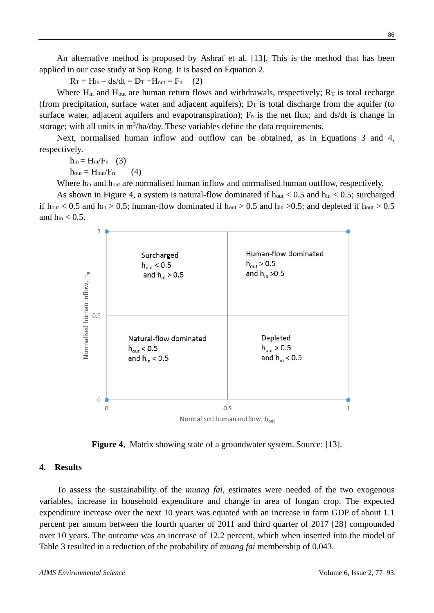An alternative method is proposed by Ashraf et al. [13]. This is the method that has been applied in our case study at Sop Rong. It is based on Equation 2.

 $R_T$  +  $H_{in}$  –  $ds/dt$  =  $D_T$  + $H_{out}$  =  $F_n$  (2)

Where  $H_{in}$  and  $H_{out}$  are human return flows and withdrawals, respectively;  $R_T$  is total recharge (from precipitation, surface water and adjacent aquifers);  $D_T$  is total discharge from the aquifer (to surface water, adjacent aquifers and evapotranspiration);  $F_n$  is the net flux; and ds/dt is change in storage; with all units in  $m^3/ha/day$ . These variables define the data requirements.

Next, normalised human inflow and outflow can be obtained, as in Equations 3 and 4, respectively.

 $h_{in} = H_{in}/F_n$  (3)

 $h_{\text{out}} = H_{\text{out}}/F_n$  (4)

Where h<sub>in</sub> and h<sub>out</sub> are normalised human inflow and normalised human outflow, respectively.

As shown in Figure 4, a system is natural-flow dominated if  $h_{out} < 0.5$  and  $h_{in} < 0.5$ ; surcharged if  $h_{\text{out}} < 0.5$  and  $h_{\text{in}} > 0.5$ ; human-flow dominated if  $h_{\text{out}} > 0.5$  and  $h_{\text{in}} > 0.5$ ; and depleted if  $h_{\text{out}} > 0.5$ and  $h_{in} < 0.5$ .



**Figure 4**. Matrix showing state of a groundwater system. Source: [13].

# **4. Results**

To assess the sustainability of the *muang fai*, estimates were needed of the two exogenous variables, increase in household expenditure and change in area of longan crop. The expected expenditure increase over the next 10 years was equated with an increase in farm GDP of about 1.1 percent per annum between the fourth quarter of 2011 and third quarter of 2017 [28] compounded over 10 years. The outcome was an increase of 12.2 percent, which when inserted into the model of Table 3 resulted in a reduction of the probability of *muang fai* membership of 0.043.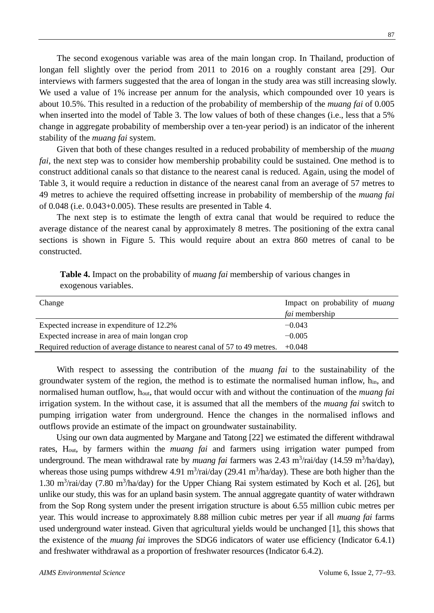The second exogenous variable was area of the main longan crop. In Thailand, production of longan fell slightly over the period from 2011 to 2016 on a roughly constant area [29]. Our interviews with farmers suggested that the area of longan in the study area was still increasing slowly. We used a value of 1% increase per annum for the analysis, which compounded over 10 years is about 10.5%. This resulted in a reduction of the probability of membership of the *muang fai* of 0.005 when inserted into the model of Table 3. The low values of both of these changes (i.e., less that a 5% change in aggregate probability of membership over a ten-year period) is an indicator of the inherent stability of the *muang fai* system.

Given that both of these changes resulted in a reduced probability of membership of the *muang fai*, the next step was to consider how membership probability could be sustained. One method is to construct additional canals so that distance to the nearest canal is reduced. Again, using the model of Table 3, it would require a reduction in distance of the nearest canal from an average of 57 metres to 49 metres to achieve the required offsetting increase in probability of membership of the *muang fai* of 0.048 (i.e. 0.043+0.005). These results are presented in Table 4.

The next step is to estimate the length of extra canal that would be required to reduce the average distance of the nearest canal by approximately 8 metres. The positioning of the extra canal sections is shown in Figure 5. This would require about an extra 860 metres of canal to be constructed.

| Change                                                                               | Impact on probability of <i>muang</i> |
|--------------------------------------------------------------------------------------|---------------------------------------|
|                                                                                      | <i>fai</i> membership                 |
| Expected increase in expenditure of 12.2%                                            | $-0.043$                              |
| Expected increase in area of main longan crop                                        | $-0.005$                              |
| Required reduction of average distance to nearest canal of 57 to 49 metres. $+0.048$ |                                       |

**Table 4.** Impact on the probability of *muang fai* membership of various changes in exogenous variables.

With respect to assessing the contribution of the *muang fai* to the sustainability of the groundwater system of the region, the method is to estimate the normalised human inflow, hin, and normalised human outflow, hout, that would occur with and without the continuation of the *muang fai* irrigation system. In the without case, it is assumed that all the members of the *muang fai* switch to pumping irrigation water from underground. Hence the changes in the normalised inflows and outflows provide an estimate of the impact on groundwater sustainability.

Using our own data augmented by Margane and Tatong [22] we estimated the different withdrawal rates, Hout, by farmers within the *muang fai* and farmers using irrigation water pumped from underground. The mean withdrawal rate by *muang fai* farmers was 2.43 m<sup>3</sup>/rai/day (14.59 m<sup>3</sup>/ha/day), whereas those using pumps withdrew 4.91 m<sup>3</sup>/rai/day (29.41 m<sup>3</sup>/ha/day). These are both higher than the 1.30 m<sup>3</sup>/rai/day (7.80 m<sup>3</sup>/ha/day) for the Upper Chiang Rai system estimated by Koch et al. [26], but unlike our study, this was for an upland basin system. The annual aggregate quantity of water withdrawn from the Sop Rong system under the present irrigation structure is about 6.55 million cubic metres per year. This would increase to approximately 8.88 million cubic metres per year if all *muang fai* farms used underground water instead. Given that agricultural yields would be unchanged [1], this shows that the existence of the *muang fai* improves the SDG6 indicators of water use efficiency (Indicator 6.4.1) and freshwater withdrawal as a proportion of freshwater resources (Indicator 6.4.2).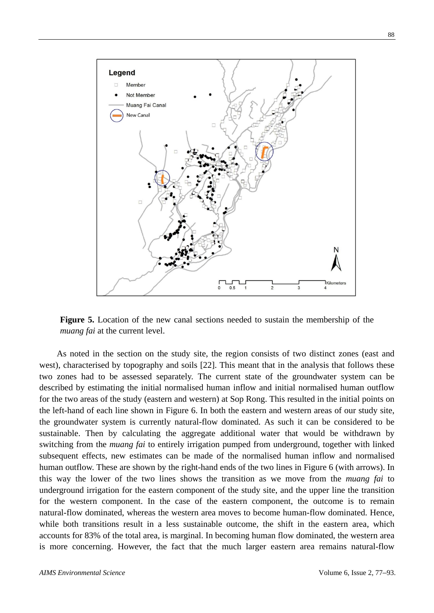

**Figure 5.** Location of the new canal sections needed to sustain the membership of the *muang fai* at the current level.

As noted in the section on the study site, the region consists of two distinct zones (east and west), characterised by topography and soils [22]. This meant that in the analysis that follows these two zones had to be assessed separately. The current state of the groundwater system can be described by estimating the initial normalised human inflow and initial normalised human outflow for the two areas of the study (eastern and western) at Sop Rong. This resulted in the initial points on the left-hand of each line shown in Figure 6. In both the eastern and western areas of our study site, the groundwater system is currently natural-flow dominated. As such it can be considered to be sustainable. Then by calculating the aggregate additional water that would be withdrawn by switching from the *muang fai* to entirely irrigation pumped from underground, together with linked subsequent effects, new estimates can be made of the normalised human inflow and normalised human outflow. These are shown by the right-hand ends of the two lines in Figure 6 (with arrows). In this way the lower of the two lines shows the transition as we move from the *muang fai* to underground irrigation for the eastern component of the study site, and the upper line the transition for the western component. In the case of the eastern component, the outcome is to remain natural-flow dominated, whereas the western area moves to become human-flow dominated. Hence, while both transitions result in a less sustainable outcome, the shift in the eastern area, which accounts for 83% of the total area, is marginal. In becoming human flow dominated, the western area is more concerning. However, the fact that the much larger eastern area remains natural-flow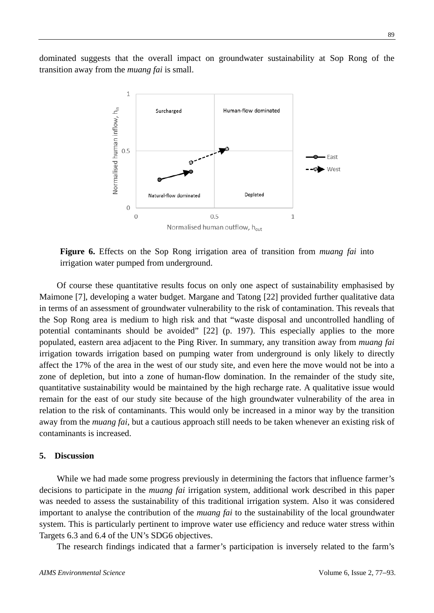dominated suggests that the overall impact on groundwater sustainability at Sop Rong of the transition away from the *muang fai* is small.



**Figure 6.** Effects on the Sop Rong irrigation area of transition from *muang fai* into irrigation water pumped from underground.

Of course these quantitative results focus on only one aspect of sustainability emphasised by Maimone [7], developing a water budget. Margane and Tatong [22] provided further qualitative data in terms of an assessment of groundwater vulnerability to the risk of contamination. This reveals that the Sop Rong area is medium to high risk and that "waste disposal and uncontrolled handling of potential contaminants should be avoided" [22] (p. 197). This especially applies to the more populated, eastern area adjacent to the Ping River. In summary, any transition away from *muang fai* irrigation towards irrigation based on pumping water from underground is only likely to directly affect the 17% of the area in the west of our study site, and even here the move would not be into a zone of depletion, but into a zone of human-flow domination. In the remainder of the study site, quantitative sustainability would be maintained by the high recharge rate. A qualitative issue would remain for the east of our study site because of the high groundwater vulnerability of the area in relation to the risk of contaminants. This would only be increased in a minor way by the transition away from the *muang fai*, but a cautious approach still needs to be taken whenever an existing risk of contaminants is increased.

#### **5. Discussion**

While we had made some progress previously in determining the factors that influence farmer's decisions to participate in the *muang fai* irrigation system, additional work described in this paper was needed to assess the sustainability of this traditional irrigation system. Also it was considered important to analyse the contribution of the *muang fai* to the sustainability of the local groundwater system. This is particularly pertinent to improve water use efficiency and reduce water stress within Targets 6.3 and 6.4 of the UN's SDG6 objectives.

The research findings indicated that a farmer's participation is inversely related to the farm's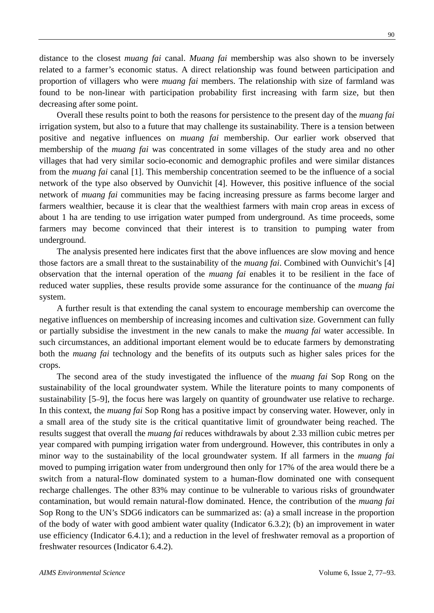distance to the closest *muang fai* canal. *Muang fai* membership was also shown to be inversely related to a farmer's economic status. A direct relationship was found between participation and proportion of villagers who were *muang fai* members. The relationship with size of farmland was found to be non-linear with participation probability first increasing with farm size, but then decreasing after some point.

Overall these results point to both the reasons for persistence to the present day of the *muang fai* irrigation system, but also to a future that may challenge its sustainability. There is a tension between positive and negative influences on *muang fai* membership. Our earlier work observed that membership of the *muang fai* was concentrated in some villages of the study area and no other villages that had very similar socio-economic and demographic profiles and were similar distances from the *muang fai* canal [1]. This membership concentration seemed to be the influence of a social network of the type also observed by Ounvichit [4]. However, this positive influence of the social network of *muang fai* communities may be facing increasing pressure as farms become larger and farmers wealthier, because it is clear that the wealthiest farmers with main crop areas in excess of about 1 ha are tending to use irrigation water pumped from underground. As time proceeds, some farmers may become convinced that their interest is to transition to pumping water from underground.

The analysis presented here indicates first that the above influences are slow moving and hence those factors are a small threat to the sustainability of the *muang fai*. Combined with Ounvichit's [4] observation that the internal operation of the *muang fai* enables it to be resilient in the face of reduced water supplies, these results provide some assurance for the continuance of the *muang fai* system.

A further result is that extending the canal system to encourage membership can overcome the negative influences on membership of increasing incomes and cultivation size. Government can fully or partially subsidise the investment in the new canals to make the *muang fai* water accessible. In such circumstances, an additional important element would be to educate farmers by demonstrating both the *muang fai* technology and the benefits of its outputs such as higher sales prices for the crops.

The second area of the study investigated the influence of the *muang fai* Sop Rong on the sustainability of the local groundwater system. While the literature points to many components of sustainability [5–9], the focus here was largely on quantity of groundwater use relative to recharge. In this context, the *muang fai* Sop Rong has a positive impact by conserving water. However, only in a small area of the study site is the critical quantitative limit of groundwater being reached. The results suggest that overall the *muang fai* reduces withdrawals by about 2.33 million cubic metres per year compared with pumping irrigation water from underground. However, this contributes in only a minor way to the sustainability of the local groundwater system. If all farmers in the *muang fai* moved to pumping irrigation water from underground then only for 17% of the area would there be a switch from a natural-flow dominated system to a human-flow dominated one with consequent recharge challenges. The other 83% may continue to be vulnerable to various risks of groundwater contamination, but would remain natural-flow dominated. Hence, the contribution of the *muang fai* Sop Rong to the UN's SDG6 indicators can be summarized as: (a) a small increase in the proportion of the body of water with good ambient water quality (Indicator 6.3.2); (b) an improvement in water use efficiency (Indicator 6.4.1); and a reduction in the level of freshwater removal as a proportion of freshwater resources (Indicator 6.4.2).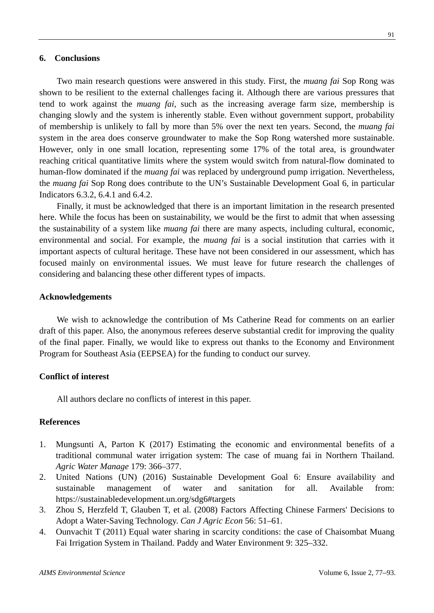## **6. Conclusions**

Two main research questions were answered in this study. First, the *muang fai* Sop Rong was shown to be resilient to the external challenges facing it. Although there are various pressures that tend to work against the *muang fai*, such as the increasing average farm size, membership is changing slowly and the system is inherently stable. Even without government support, probability of membership is unlikely to fall by more than 5% over the next ten years. Second, the *muang fai* system in the area does conserve groundwater to make the Sop Rong watershed more sustainable. However, only in one small location, representing some 17% of the total area, is groundwater reaching critical quantitative limits where the system would switch from natural-flow dominated to human-flow dominated if the *muang fai* was replaced by underground pump irrigation. Nevertheless, the *muang fai* Sop Rong does contribute to the UN's Sustainable Development Goal 6, in particular Indicators 6.3.2, 6.4.1 and 6.4.2.

Finally, it must be acknowledged that there is an important limitation in the research presented here. While the focus has been on sustainability, we would be the first to admit that when assessing the sustainability of a system like *muang fai* there are many aspects, including cultural, economic, environmental and social. For example, the *muang fai* is a social institution that carries with it important aspects of cultural heritage. These have not been considered in our assessment, which has focused mainly on environmental issues. We must leave for future research the challenges of considering and balancing these other different types of impacts.

#### **Acknowledgements**

We wish to acknowledge the contribution of Ms Catherine Read for comments on an earlier draft of this paper. Also, the anonymous referees deserve substantial credit for improving the quality of the final paper. Finally, we would like to express out thanks to the Economy and Environment Program for Southeast Asia (EEPSEA) for the funding to conduct our survey.

#### **Conflict of interest**

All authors declare no conflicts of interest in this paper.

## **References**

- 1. Mungsunti A, Parton K (2017) Estimating the economic and environmental benefits of a traditional communal water irrigation system: The case of muang fai in Northern Thailand. *Agric Water Manage* 179: 366–377.
- 2. United Nations (UN) (2016) Sustainable Development Goal 6: Ensure availability and sustainable management of water and sanitation for all. Available from: <https://sustainabledevelopment.un.org/sdg6#targets>
- 3. Zhou S, Herzfeld T, Glauben T, et al. (2008) Factors Affecting Chinese Farmers' Decisions to Adopt a Water-Saving Technology. *Can J Agric Econ* 56: 51–61.
- 4. Ounvachit T (2011) Equal water sharing in scarcity conditions: the case of Chaisombat Muang Fai Irrigation System in Thailand. Paddy and Water Environment 9: 325–332.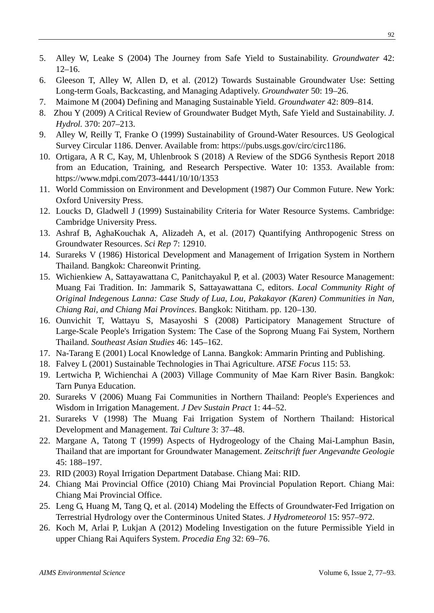- 5. Alley W, Leake S (2004) The Journey from Safe Yield to Sustainability. *Groundwater* 42: 12–16.
- 6. Gleeson T, Alley W, Allen D, et al. (2012) Towards Sustainable Groundwater Use: Setting Long-term Goals, Backcasting, and Managing Adaptively. *Groundwater* 50: 19–26.
- 7. Maimone M (2004) Defining and Managing Sustainable Yield. *Groundwater* 42: 809–814.
- 8. Zhou Y (2009) A Critical Review of Groundwater Budget Myth, Safe Yield and Sustainability. *J. Hydrol.* 370: 207–213.
- 9. Alley W, Reilly T, Franke O (1999) Sustainability of Ground-Water Resources. US Geological Survey Circular 1186. Denver. Available from: [https://pubs.usgs.gov/circ/circ1186.](https://pubs.usgs.gov/circ/circ1186/)
- 10. Ortigara, A R C, Kay, M, Uhlenbrook S (2018) A Review of the SDG6 Synthesis Report 2018 from an Education, Training, and Research Perspective. Water 10: 1353. Available from: https://www.mdpi.com/2073-4441/10/10/1353
- 11. World Commission on Environment and Development (1987) Our Common Future. New York: Oxford University Press.
- 12. Loucks D, Gladwell J (1999) Sustainability Criteria for Water Resource Systems. Cambridge: Cambridge University Press.
- 13. Ashraf B, AghaKouchak A, Alizadeh A, et al. (2017) Quantifying Anthropogenic Stress on Groundwater Resources. *Sci Rep* 7: 12910.
- 14. Surareks V (1986) Historical Development and Management of Irrigation System in Northern Thailand. Bangkok: Chareonwit Printing.
- 15. Wichienkiew A, Sattayawattana C, Panitchayakul P, et al. (2003) Water Resource Management: Muang Fai Tradition. In: Jammarik S, Sattayawattana C, editors. *Local Community Right of Original Indegenous Lanna: Case Study of Lua, Lou, Pakakayor (Karen) Communities in Nan, Chiang Rai, and Chiang Mai Provinces*. Bangkok: Nititham. pp. 120–130.
- 16. Ounvichit T, Wattayu S, Masayoshi S (2008) Participatory Management Structure of Large-Scale People's Irrigation System: The Case of the Soprong Muang Fai System, Northern Thailand. *Southeast Asian Studies* 46: 145–162.
- 17. Na-Tarang E (2001) Local Knowledge of Lanna. Bangkok: Ammarin Printing and Publishing.
- 18. Falvey L (2001) Sustainable Technologies in Thai Agriculture. *ATSE Focus* 115: 53.
- 19. Lertwicha P, Wichienchai A (2003) Village Community of Mae Karn River Basin. Bangkok: Tarn Punya Education.
- 20. Surareks V (2006) Muang Fai Communities in Northern Thailand: People's Experiences and Wisdom in Irrigation Management. *J Dev Sustain Pract* 1: 44–52.
- 21. Surareks V (1998) The Muang Fai Irrigation System of Northern Thailand: Historical Development and Management. *Tai Culture* 3: 37–48.
- 22. Margane A, Tatong T (1999) Aspects of Hydrogeology of the Chaing Mai-Lamphun Basin, Thailand that are important for Groundwater Management. *Zeitschrift fuer Angevandte Geologie* 45: 188–197.
- 23. RID (2003) Royal Irrigation Department Database. Chiang Mai: RID.
- 24. Chiang Mai Provincial Office (2010) Chiang Mai Provincial Population Report. Chiang Mai: Chiang Mai Provincial Office.
- 25. Leng G, Huang M, Tang Q, et al. (2014) Modeling the Effects of Groundwater-Fed Irrigation on Terrestrial Hydrology over the Conterminous United States. *J Hydrometeorol* 15: 957–972.
- 26. Koch M, Arlai P, Lukjan A (2012) Modeling Investigation on the future Permissible Yield in upper Chiang Rai Aquifers System. *Procedia Eng* 32: 69–76.